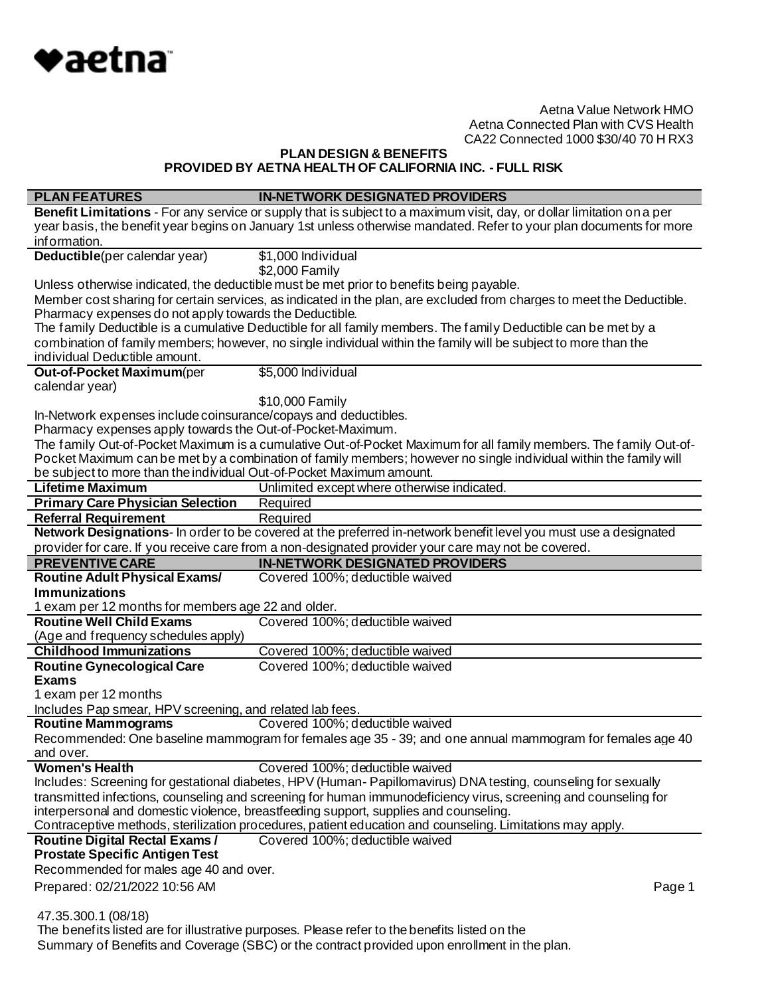

**PLAN DESIGN & BENEFITS PROVIDED BY AETNA HEALTH OF CALIFORNIA INC. - FULL RISK**

| <b>PLAN FEATURES</b>                                                 | <b>IN-NETWORK DESIGNATED PROVIDERS</b>                                                                                                                                                        |
|----------------------------------------------------------------------|-----------------------------------------------------------------------------------------------------------------------------------------------------------------------------------------------|
|                                                                      | Benefit Limitations - For any service or supply that is subject to a maximum visit, day, or dollar limitation on a per                                                                        |
|                                                                      | year basis, the benefit year begins on January 1st unless otherwise mandated. Refer to your plan documents for more                                                                           |
| information.                                                         |                                                                                                                                                                                               |
| Deductible(per calendar year)                                        | \$1,000 Individual                                                                                                                                                                            |
|                                                                      | \$2,000 Family                                                                                                                                                                                |
|                                                                      | Unless otherwise indicated, the deductible must be met prior to benefits being payable.                                                                                                       |
|                                                                      | Member cost sharing for certain services, as indicated in the plan, are excluded from charges to meet the Deductible.                                                                         |
| Pharmacy expenses do not apply towards the Deductible.               |                                                                                                                                                                                               |
|                                                                      | The family Deductible is a cumulative Deductible for all family members. The family Deductible can be met by a                                                                                |
|                                                                      | combination of family members; however, no single individual within the family will be subject to more than the                                                                               |
| individual Deductible amount.                                        |                                                                                                                                                                                               |
| Out-of-Pocket Maximum(per                                            | \$5,000 Individual                                                                                                                                                                            |
| calendar year)                                                       |                                                                                                                                                                                               |
|                                                                      | \$10,000 Family                                                                                                                                                                               |
| In-Network expenses include coinsurance/copays and deductibles.      |                                                                                                                                                                                               |
| Pharmacy expenses apply towards the Out-of-Pocket-Maximum.           |                                                                                                                                                                                               |
|                                                                      | The family Out-of-Pocket Maximum is a cumulative Out-of-Pocket Maximum for all family members. The family Out-of-                                                                             |
|                                                                      | Pocket Maximum can be met by a combination of family members; however no single individual within the family will                                                                             |
| be subject to more than the individual Out-of-Pocket Maximum amount. |                                                                                                                                                                                               |
| <b>Lifetime Maximum</b>                                              | Unlimited except where otherwise indicated.                                                                                                                                                   |
| <b>Primary Care Physician Selection</b>                              | Required                                                                                                                                                                                      |
| <b>Referral Requirement</b>                                          | Required                                                                                                                                                                                      |
|                                                                      | Network Designations- In order to be covered at the preferred in-network benefit level you must use a designated                                                                              |
|                                                                      | provider for care. If you receive care from a non-designated provider your care may not be covered.                                                                                           |
| <b>PREVENTIVE CARE</b>                                               | <b>IN-NETWORK DESIGNATED PROVIDERS</b>                                                                                                                                                        |
|                                                                      |                                                                                                                                                                                               |
| <b>Routine Adult Physical Exams/</b>                                 | Covered 100%; deductible waived                                                                                                                                                               |
| <b>Immunizations</b>                                                 |                                                                                                                                                                                               |
| 1 exam per 12 months for members age 22 and older.                   |                                                                                                                                                                                               |
| <b>Routine Well Child Exams</b>                                      | Covered 100%; deductible waived                                                                                                                                                               |
| (Age and frequency schedules apply)                                  |                                                                                                                                                                                               |
| <b>Childhood Immunizations</b>                                       | Covered 100%; deductible waived                                                                                                                                                               |
| <b>Routine Gynecological Care</b>                                    | Covered 100%; deductible waived                                                                                                                                                               |
| <b>Exams</b>                                                         |                                                                                                                                                                                               |
| 1 exam per 12 months                                                 |                                                                                                                                                                                               |
| Includes Pap smear, HPV screening, and related lab fees.             |                                                                                                                                                                                               |
| <b>Routine Mammograms</b>                                            | Covered 100%; deductible waived                                                                                                                                                               |
|                                                                      | Recommended: One baseline mammogram for females age 35 - 39; and one annual mammogram for females age 40                                                                                      |
| and over.                                                            |                                                                                                                                                                                               |
| <b>Women's Health</b>                                                | Covered 100%; deductible waived                                                                                                                                                               |
|                                                                      | Includes: Screening for gestational diabetes, HPV (Human-Papillomavirus) DNA testing, counseling for sexually                                                                                 |
|                                                                      | transmitted infections, counseling and screening for human immunodeficiency virus, screening and counseling for                                                                               |
|                                                                      | interpersonal and domestic violence, breastfeeding support, supplies and counseling.                                                                                                          |
|                                                                      | Contraceptive methods, sterilization procedures, patient education and counseling. Limitations may apply.                                                                                     |
| <b>Routine Digital Rectal Exams/</b>                                 | Covered 100%; deductible waived                                                                                                                                                               |
| <b>Prostate Specific Antigen Test</b>                                |                                                                                                                                                                                               |
| Recommended for males age 40 and over.                               |                                                                                                                                                                                               |
| Prepared: 02/21/2022 10:56 AM                                        | Page 1                                                                                                                                                                                        |
|                                                                      |                                                                                                                                                                                               |
| 47.35.300.1 (08/18)                                                  |                                                                                                                                                                                               |
|                                                                      | The benefits listed are for illustrative purposes. Please refer to the benefits listed on the<br>Summary of Benefits and Coverage (SBC) or the contract provided upon enrollment in the plan. |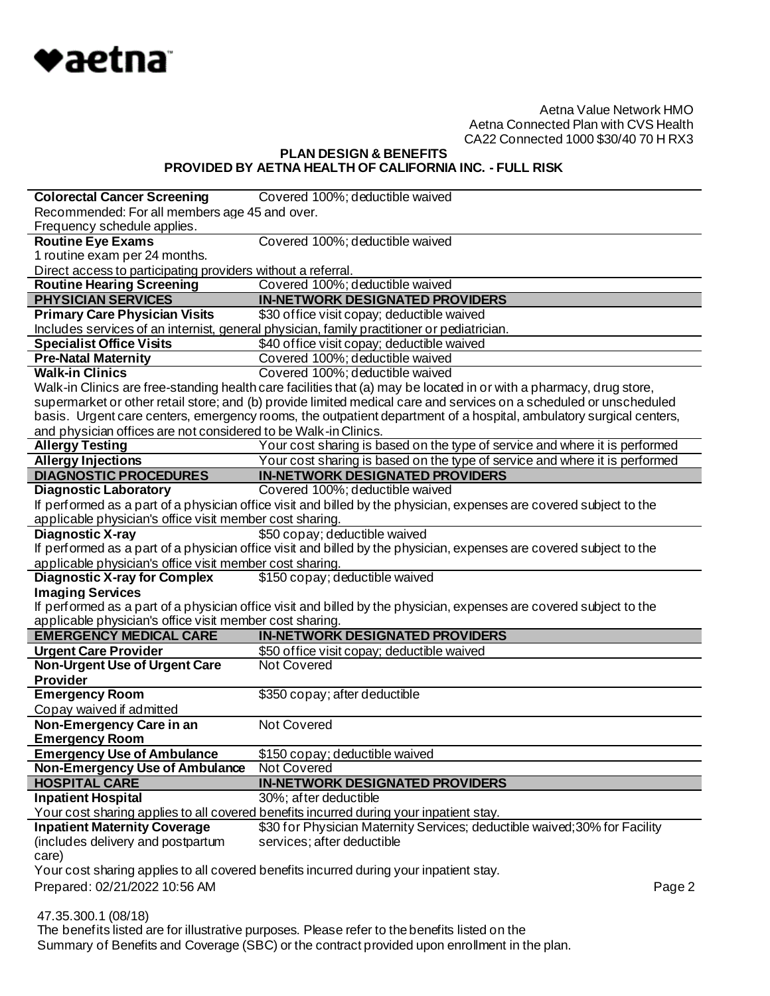

# **PLAN DESIGN & BENEFITS PROVIDED BY AETNA HEALTH OF CALIFORNIA INC. - FULL RISK**

| <b>Colorectal Cancer Screening</b>                              | Covered 100%; deductible waived                                                                                     |  |
|-----------------------------------------------------------------|---------------------------------------------------------------------------------------------------------------------|--|
| Recommended: For all members age 45 and over.                   |                                                                                                                     |  |
| Frequency schedule applies.                                     |                                                                                                                     |  |
| <b>Routine Eye Exams</b>                                        | Covered 100%; deductible waived                                                                                     |  |
| 1 routine exam per 24 months.                                   |                                                                                                                     |  |
| Direct access to participating providers without a referral.    |                                                                                                                     |  |
| <b>Routine Hearing Screening</b>                                | Covered 100%; deductible waived                                                                                     |  |
| <b>PHYSICIAN SERVICES</b>                                       | <b>IN-NETWORK DESIGNATED PROVIDERS</b>                                                                              |  |
| <b>Primary Care Physician Visits</b>                            | \$30 office visit copay; deductible waived                                                                          |  |
|                                                                 | Includes services of an internist, general physician, family practitioner or pediatrician.                          |  |
| <b>Specialist Office Visits</b>                                 | \$40 office visit copay; deductible waived                                                                          |  |
| <b>Pre-Natal Maternity</b>                                      | Covered 100%; deductible waived                                                                                     |  |
| <b>Walk-in Clinics</b>                                          | Covered 100%; deductible waived                                                                                     |  |
|                                                                 | Walk-in Clinics are free-standing health care facilities that (a) may be located in or with a pharmacy, drug store, |  |
|                                                                 | supermarket or other retail store; and (b) provide limited medical care and services on a scheduled or unscheduled  |  |
|                                                                 | basis. Urgent care centers, emergency rooms, the outpatient department of a hospital, ambulatory surgical centers,  |  |
| and physician offices are not considered to be Walk-in Clinics. |                                                                                                                     |  |
| <b>Allergy Testing</b>                                          | Your cost sharing is based on the type of service and where it is performed                                         |  |
| <b>Allergy Injections</b>                                       | Your cost sharing is based on the type of service and where it is performed                                         |  |
| <b>DIAGNOSTIC PROCEDURES</b>                                    | <b>IN-NETWORK DESIGNATED PROVIDERS</b>                                                                              |  |
| <b>Diagnostic Laboratory</b>                                    | Covered 100%; deductible waived                                                                                     |  |
|                                                                 | If performed as a part of a physician office visit and billed by the physician, expenses are covered subject to the |  |
| applicable physician's office visit member cost sharing.        |                                                                                                                     |  |
| <b>Diagnostic X-ray</b>                                         | \$50 copay; deductible waived                                                                                       |  |
|                                                                 | If performed as a part of a physician office visit and billed by the physician, expenses are covered subject to the |  |
| applicable physician's office visit member cost sharing.        |                                                                                                                     |  |
| <b>Diagnostic X-ray for Complex</b>                             | \$150 copay; deductible waived                                                                                      |  |
| <b>Imaging Services</b>                                         |                                                                                                                     |  |
|                                                                 | If performed as a part of a physician office visit and billed by the physician, expenses are covered subject to the |  |
| applicable physician's office visit member cost sharing.        |                                                                                                                     |  |
| <b>EMERGENCY MEDICAL CARE</b>                                   | <b>IN-NETWORK DESIGNATED PROVIDERS</b>                                                                              |  |
| <b>Urgent Care Provider</b>                                     | \$50 office visit copay; deductible waived                                                                          |  |
| <b>Non-Urgent Use of Urgent Care</b>                            | <b>Not Covered</b>                                                                                                  |  |
| <b>Provider</b>                                                 |                                                                                                                     |  |
| <b>Emergency Room</b>                                           | \$350 copay; after deductible                                                                                       |  |
| Copay waived if admitted                                        |                                                                                                                     |  |
| Non-Emergency Care in an                                        | Not Covered                                                                                                         |  |
| <b>Emergency Room</b>                                           |                                                                                                                     |  |
| <b>Emergency Use of Ambulance</b>                               | \$150 copay; deductible waived                                                                                      |  |
| <b>Non-Emergency Use of Ambulance</b>                           | Not Covered                                                                                                         |  |
| <b>HOSPITAL CARE</b>                                            | <b>IN-NETWORK DESIGNATED PROVIDERS</b>                                                                              |  |
| <b>Inpatient Hospital</b>                                       | 30%; after deductible                                                                                               |  |
|                                                                 | Your cost sharing applies to all covered benefits incurred during your inpatient stay.                              |  |
| <b>Inpatient Maternity Coverage</b>                             | \$30 for Physician Maternity Services; deductible waived; 30% for Facility                                          |  |
| (includes delivery and postpartum                               | services; after deductible                                                                                          |  |
| care)                                                           |                                                                                                                     |  |
|                                                                 | Your cost sharing applies to all covered benefits incurred during your inpatient stay.                              |  |
| Prepared: 02/21/2022 10:56 AM                                   | Page 2                                                                                                              |  |
|                                                                 |                                                                                                                     |  |

47.35.300.1 (08/18)

 The benefits listed are for illustrative purposes. Please refer to the benefits listed on the Summary of Benefits and Coverage (SBC) or the contract provided upon enrollment in the plan.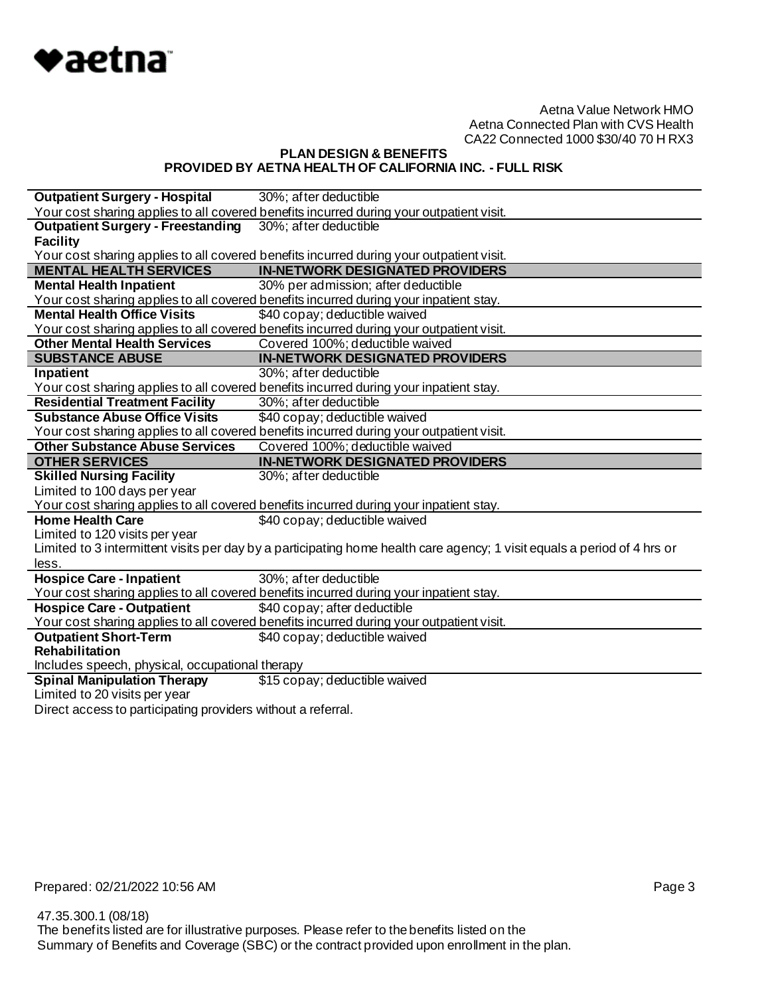

# **PLAN DESIGN & BENEFITS PROVIDED BY AETNA HEALTH OF CALIFORNIA INC. - FULL RISK**

| <b>Outpatient Surgery - Hospital</b>            | 30%; after deductible                                                                                                    |
|-------------------------------------------------|--------------------------------------------------------------------------------------------------------------------------|
|                                                 | Your cost sharing applies to all covered benefits incurred during your outpatient visit.                                 |
| <b>Outpatient Surgery - Freestanding</b>        | 30%; after deductible                                                                                                    |
| <b>Facility</b>                                 |                                                                                                                          |
|                                                 | Your cost sharing applies to all covered benefits incurred during your outpatient visit.                                 |
| <b>MENTAL HEALTH SERVICES</b>                   | <b>IN-NETWORK DESIGNATED PROVIDERS</b>                                                                                   |
| <b>Mental Health Inpatient</b>                  | 30% per admission; after deductible                                                                                      |
|                                                 | Your cost sharing applies to all covered benefits incurred during your inpatient stay.                                   |
| <b>Mental Health Office Visits</b>              | \$40 copay; deductible waived                                                                                            |
|                                                 | Your cost sharing applies to all covered benefits incurred during your outpatient visit.                                 |
| <b>Other Mental Health Services</b>             | Covered 100%; deductible waived                                                                                          |
| <b>SUBSTANCE ABUSE</b>                          | <b>IN-NETWORK DESIGNATED PROVIDERS</b>                                                                                   |
| Inpatient                                       | 30%; after deductible                                                                                                    |
|                                                 | Your cost sharing applies to all covered benefits incurred during your inpatient stay.                                   |
| <b>Residential Treatment Facility</b>           | 30%; after deductible                                                                                                    |
| <b>Substance Abuse Office Visits</b>            | \$40 copay; deductible waived                                                                                            |
|                                                 | Your cost sharing applies to all covered benefits incurred during your outpatient visit.                                 |
| <b>Other Substance Abuse Services</b>           | Covered 100%; deductible waived                                                                                          |
|                                                 |                                                                                                                          |
| <b>OTHER SERVICES</b>                           | <b>IN-NETWORK DESIGNATED PROVIDERS</b>                                                                                   |
| <b>Skilled Nursing Facility</b>                 | 30%; after deductible                                                                                                    |
| Limited to 100 days per year                    |                                                                                                                          |
|                                                 | Your cost sharing applies to all covered benefits incurred during your inpatient stay.                                   |
| <b>Home Health Care</b>                         | \$40 copay; deductible waived                                                                                            |
| Limited to 120 visits per year                  |                                                                                                                          |
|                                                 | Limited to 3 intermittent visits per day by a participating home health care agency; 1 visit equals a period of 4 hrs or |
| less.                                           |                                                                                                                          |
| <b>Hospice Care - Inpatient</b>                 | 30%; after deductible                                                                                                    |
|                                                 | Your cost sharing applies to all covered benefits incurred during your inpatient stay.                                   |
| <b>Hospice Care - Outpatient</b>                | \$40 copay; after deductible                                                                                             |
|                                                 | Your cost sharing applies to all covered benefits incurred during your outpatient visit.                                 |
| <b>Outpatient Short-Term</b>                    | \$40 copay; deductible waived                                                                                            |
| Rehabilitation                                  |                                                                                                                          |
| Includes speech, physical, occupational therapy |                                                                                                                          |
| <b>Spinal Manipulation Therapy</b>              | \$15 copay; deductible waived                                                                                            |
| Limited to 20 visits per year                   |                                                                                                                          |

Direct access to participating providers without a referral.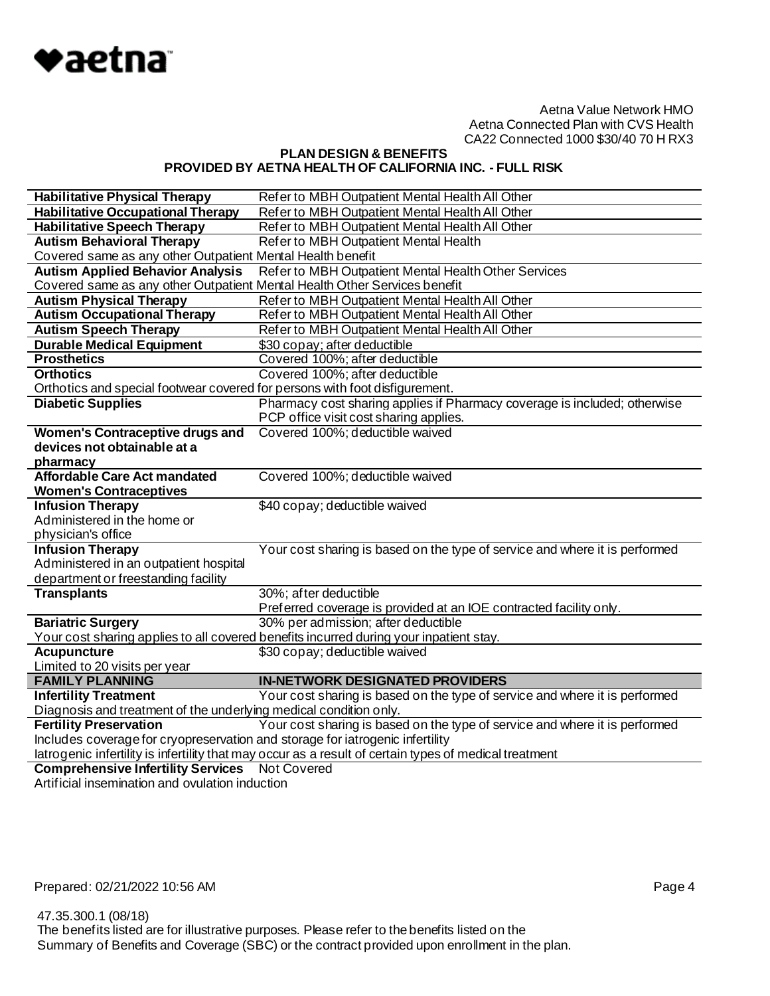

# **PLAN DESIGN & BENEFITS PROVIDED BY AETNA HEALTH OF CALIFORNIA INC. - FULL RISK**

| <b>Habilitative Physical Therapy</b>                                          | Refer to MBH Outpatient Mental Health All Other                                                                              |  |
|-------------------------------------------------------------------------------|------------------------------------------------------------------------------------------------------------------------------|--|
| <b>Habilitative Occupational Therapy</b>                                      | Refer to MBH Outpatient Mental Health All Other                                                                              |  |
| <b>Habilitative Speech Therapy</b>                                            | Refer to MBH Outpatient Mental Health All Other                                                                              |  |
| <b>Autism Behavioral Therapy</b>                                              | Refer to MBH Outpatient Mental Health                                                                                        |  |
| Covered same as any other Outpatient Mental Health benefit                    |                                                                                                                              |  |
| <b>Autism Applied Behavior Analysis</b>                                       | Refer to MBH Outpatient Mental Health Other Services                                                                         |  |
| Covered same as any other Outpatient Mental Health Other Services benefit     |                                                                                                                              |  |
| <b>Autism Physical Therapy</b>                                                | Refer to MBH Outpatient Mental Health All Other                                                                              |  |
| <b>Autism Occupational Therapy</b>                                            | Refer to MBH Outpatient Mental Health All Other                                                                              |  |
| <b>Autism Speech Therapy</b>                                                  | Refer to MBH Outpatient Mental Health All Other                                                                              |  |
| <b>Durable Medical Equipment</b>                                              | \$30 copay; after deductible                                                                                                 |  |
| <b>Prosthetics</b>                                                            | Covered 100%; after deductible                                                                                               |  |
| <b>Orthotics</b>                                                              | Covered 100%; after deductible                                                                                               |  |
| Orthotics and special footwear covered for persons with foot disfigurement.   |                                                                                                                              |  |
| <b>Diabetic Supplies</b>                                                      | Pharmacy cost sharing applies if Pharmacy coverage is included; otherwise                                                    |  |
|                                                                               | PCP office visit cost sharing applies.                                                                                       |  |
| <b>Women's Contraceptive drugs and</b>                                        | Covered 100%; deductible waived                                                                                              |  |
| devices not obtainable at a                                                   |                                                                                                                              |  |
| pharmacy                                                                      |                                                                                                                              |  |
| <b>Affordable Care Act mandated</b>                                           | Covered 100%; deductible waived                                                                                              |  |
| <b>Women's Contraceptives</b>                                                 |                                                                                                                              |  |
| <b>Infusion Therapy</b>                                                       | \$40 copay; deductible waived                                                                                                |  |
| Administered in the home or                                                   |                                                                                                                              |  |
| physician's office                                                            |                                                                                                                              |  |
| <b>Infusion Therapy</b>                                                       | Your cost sharing is based on the type of service and where it is performed                                                  |  |
| Administered in an outpatient hospital                                        |                                                                                                                              |  |
| department or freestanding facility                                           |                                                                                                                              |  |
| <b>Transplants</b>                                                            | 30%; after deductible                                                                                                        |  |
|                                                                               | Preferred coverage is provided at an IOE contracted facility only.                                                           |  |
| <b>Bariatric Surgery</b>                                                      | 30% per admission; after deductible                                                                                          |  |
|                                                                               | Your cost sharing applies to all covered benefits incurred during your inpatient stay.                                       |  |
| <b>Acupuncture</b>                                                            | \$30 copay; deductible waived                                                                                                |  |
| Limited to 20 visits per year                                                 |                                                                                                                              |  |
| <b>FAMILY PLANNING</b>                                                        | <b>IN-NETWORK DESIGNATED PROVIDERS</b>                                                                                       |  |
| <b>Infertility Treatment</b>                                                  | Your cost sharing is based on the type of service and where it is performed                                                  |  |
| Diagnosis and treatment of the underlying medical condition only.             | Your cost sharing is based on the type of service and where it is performed                                                  |  |
| <b>Fertility Preservation</b>                                                 |                                                                                                                              |  |
| Includes coverage for cryopreservation and storage for iatrogenic infertility |                                                                                                                              |  |
|                                                                               |                                                                                                                              |  |
| <b>Comprehensive Infertility Services</b>                                     | latrogenic infertility is infertility that may occur as a result of certain types of medical treatment<br><b>Not Covered</b> |  |

Artificial insemination and ovulation induction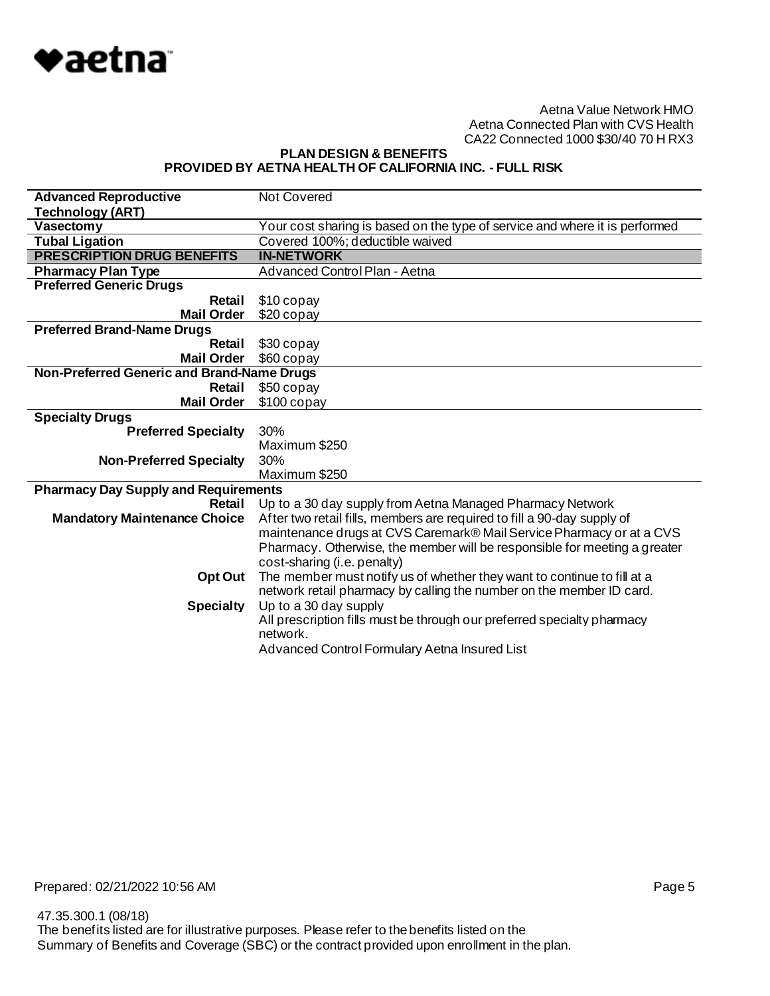

**PLAN DESIGN & BENEFITS PROVIDED BY AETNA HEALTH OF CALIFORNIA INC. - FULL RISK**

| <b>Advanced Reproductive</b>                | <b>Not Covered</b>                                                          |
|---------------------------------------------|-----------------------------------------------------------------------------|
| <b>Technology (ART)</b>                     |                                                                             |
| Vasectomy                                   | Your cost sharing is based on the type of service and where it is performed |
| <b>Tubal Ligation</b>                       | Covered 100%; deductible waived                                             |
| <b>PRESCRIPTION DRUG BENEFITS</b>           | <b>IN-NETWORK</b>                                                           |
| <b>Pharmacy Plan Type</b>                   | Advanced Control Plan - Aetna                                               |
| <b>Preferred Generic Drugs</b>              |                                                                             |
| Retail                                      | \$10 copay                                                                  |
| <b>Mail Order</b>                           | $$20$ copay                                                                 |
| <b>Preferred Brand-Name Drugs</b>           |                                                                             |
| Retail                                      | \$30 copay                                                                  |
| <b>Mail Order</b>                           | \$60 copay                                                                  |
| Non-Preferred Generic and Brand-Name Drugs  |                                                                             |
| Retail                                      | \$50 copay                                                                  |
| <b>Mail Order</b>                           | $$100$ copay                                                                |
| <b>Specialty Drugs</b>                      |                                                                             |
| <b>Preferred Specialty</b>                  | 30%                                                                         |
|                                             | Maximum \$250                                                               |
| <b>Non-Preferred Specialty</b>              | 30%                                                                         |
|                                             | Maximum \$250                                                               |
| <b>Pharmacy Day Supply and Requirements</b> |                                                                             |
| Retail                                      | Up to a 30 day supply from Aetna Managed Pharmacy Network                   |
| <b>Mandatory Maintenance Choice</b>         | After two retail fills, members are required to fill a 90-day supply of     |
|                                             | maintenance drugs at CVS Caremark® Mail Service Pharmacy or at a CVS        |
|                                             | Pharmacy. Otherwise, the member will be responsible for meeting a greater   |
|                                             | cost-sharing (i.e. penalty)                                                 |
| Opt Out                                     |                                                                             |
|                                             | The member must notify us of whether they want to continue to fill at a     |
|                                             | network retail pharmacy by calling the number on the member ID card.        |
| <b>Specialty</b>                            | Up to a 30 day supply                                                       |
|                                             | All prescription fills must be through our preferred specialty pharmacy     |
|                                             | network.<br>Advanced Control Formulary Aetna Insured List                   |

Prepared: 02/21/2022 10:56 AM **Page 5**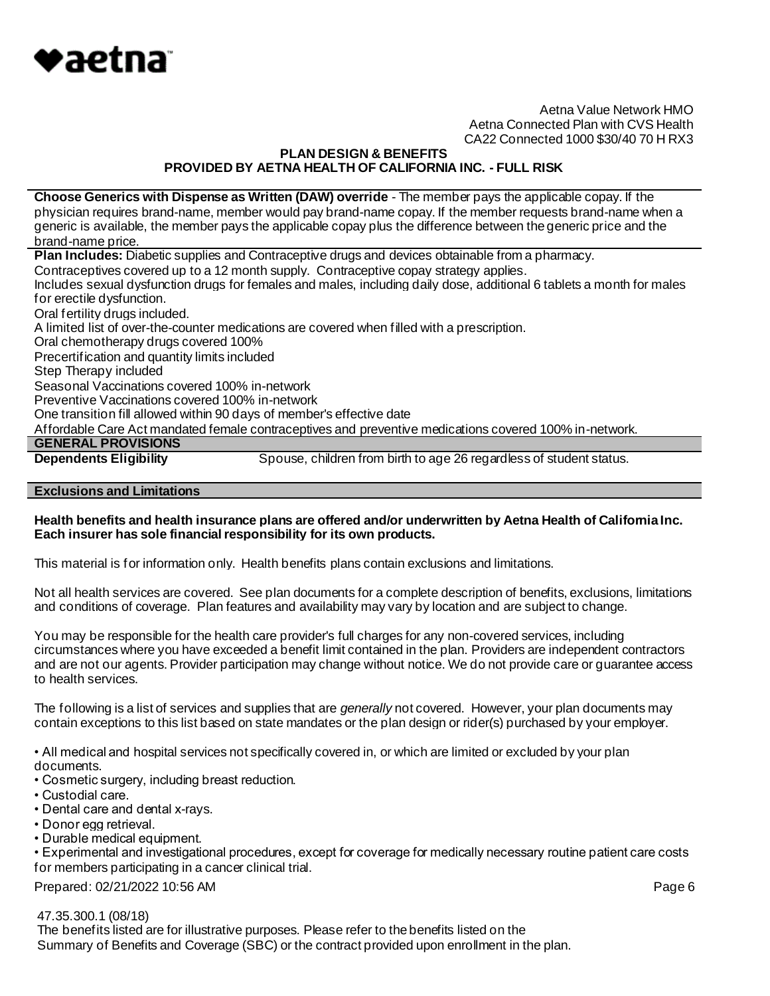

# **PLAN DESIGN & BENEFITS PROVIDED BY AETNA HEALTH OF CALIFORNIA INC. - FULL RISK**

**Choose Generics with Dispense as Written (DAW) override** - The member pays the applicable copay. If the physician requires brand-name, member would pay brand-name copay. If the member requests brand-name when a generic is available, the member pays the applicable copay plus the difference between the generic price and the brand-name price.

**Plan Includes:** Diabetic supplies and Contraceptive drugs and devices obtainable from a pharmacy.

Contraceptives covered up to a 12 month supply. Contraceptive copay strategy applies.

Includes sexual dysfunction drugs for females and males, including daily dose, additional 6 tablets a month for males for erectile dysfunction.

Oral fertility drugs included.

A limited list of over-the-counter medications are covered when filled with a prescription.

Oral chemotherapy drugs covered 100%

Precertification and quantity limits included

Step Therapy included

Seasonal Vaccinations covered 100% in-network

Preventive Vaccinations covered 100% in-network

One transition fill allowed within 90 days of member's effective date

Affordable Care Act mandated female contraceptives and preventive medications covered 100% in-network.

# **GENERAL PROVISIONS**

**Dependents Eligibility** Spouse, children from birth to age 26 regardless of student status.

#### **Exclusions and Limitations**

#### **Health benefits and health insurance plans are offered and/or underwritten by Aetna Health of California Inc. Each insurer has sole financial responsibility for its own products.**

This material is for information only. Health benefits plans contain exclusions and limitations.

Not all health services are covered. See plan documents for a complete description of benefits, exclusions, limitations and conditions of coverage. Plan features and availability may vary by location and are subject to change.

You may be responsible for the health care provider's full charges for any non-covered services, including circumstances where you have exceeded a benefit limit contained in the plan. Providers are independent contractors and are not our agents. Provider participation may change without notice. We do not provide care or guarantee access to health services.

The following is a list of services and supplies that are *generally* not covered. However, your plan documents may contain exceptions to this list based on state mandates or the plan design or rider(s) purchased by your employer.

• All medical and hospital services not specifically covered in, or which are limited or excluded by your plan documents.

• Cosmetic surgery, including breast reduction.

- Custodial care.
- Dental care and dental x-rays.
- Donor egg retrieval.
- Durable medical equipment.

• Experimental and investigational procedures, except for coverage for medically necessary routine patient care costs for members participating in a cancer clinical trial.

Prepared: 02/21/2022 10:56 AM **Page 6** 

47.35.300.1 (08/18)

 The benefits listed are for illustrative purposes. Please refer to the benefits listed on the Summary of Benefits and Coverage (SBC) or the contract provided upon enrollment in the plan.